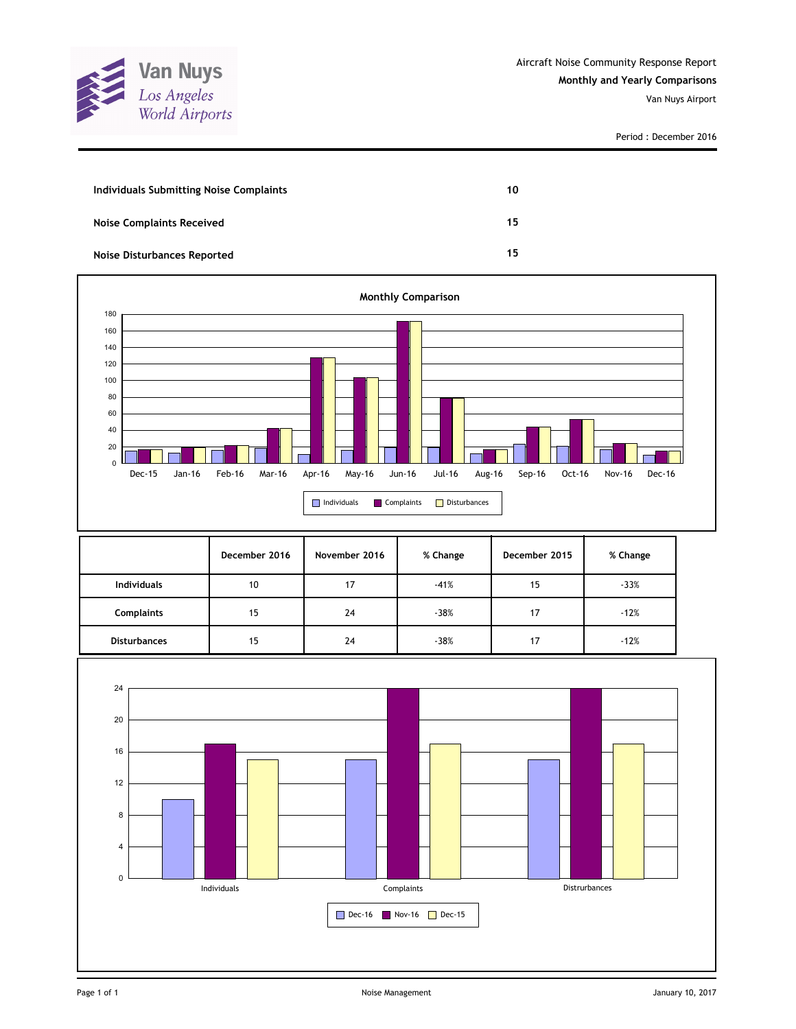

Period : December 2016

| Individuals Submitting Noise Complaints | 10 |
|-----------------------------------------|----|
| <b>Noise Complaints Received</b>        | 15 |
| Noise Disturbances Reported             | 15 |



|                     | December 2016 | November 2016 | % Change | December 2015 | % Change |
|---------------------|---------------|---------------|----------|---------------|----------|
| <b>Individuals</b>  | 10            | 17            | $-41%$   | 15            | $-33%$   |
| <b>Complaints</b>   | 15            | 24            | $-38%$   | 17            | $-12%$   |
| <b>Disturbances</b> | 15            | 24            | $-38%$   | 17            | $-12%$   |

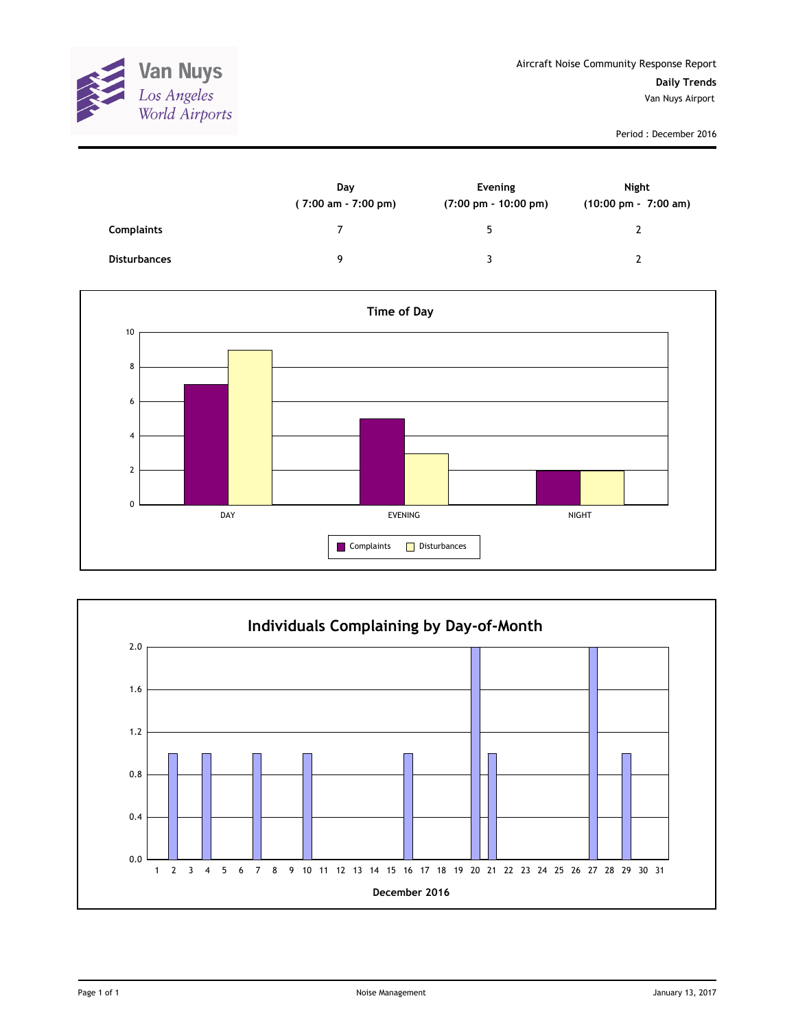

Period : December 2016

|                     | Day<br>$(7:00 \text{ am} - 7:00 \text{ pm})$ | Evening<br>$(7:00 \text{ pm} - 10:00 \text{ pm})$ | Night<br>(10:00 pm - 7:00 am) |
|---------------------|----------------------------------------------|---------------------------------------------------|-------------------------------|
| Complaints          |                                              | 5                                                 |                               |
| <b>Disturbances</b> | q                                            | ર                                                 |                               |



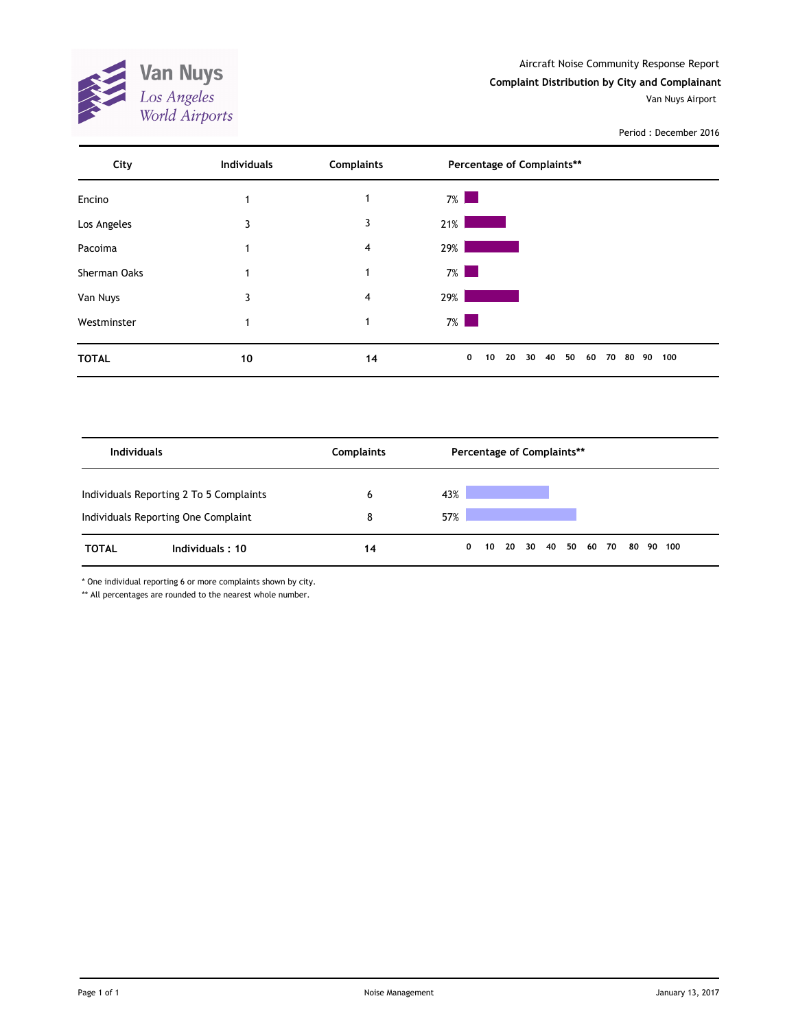Aircraft Noise Community Response Report



Van Nuys Airport



Period : December 2016

| City         | <b>Individuals</b> | <b>Complaints</b> | Percentage of Complaints**                                                                                              |     |
|--------------|--------------------|-------------------|-------------------------------------------------------------------------------------------------------------------------|-----|
| Encino       |                    | 1                 | $7\%$                                                                                                                   |     |
| Los Angeles  | 3                  | 3                 | 21%                                                                                                                     |     |
| Pacoima      |                    | 4                 | 29%                                                                                                                     |     |
| Sherman Oaks |                    | 1                 | $7\%$                                                                                                                   |     |
| Van Nuys     | 3                  | 4                 | 29%                                                                                                                     |     |
| Westminster  |                    | 1                 | $7\%$<br>and the state of the state of the state of the state of the state of the state of the state of the state of th |     |
| <b>TOTAL</b> | 10                 | 14                | 0<br>20<br>30<br>40<br>50<br>10<br>60<br>70<br>80 90                                                                    | 100 |

| <b>Individuals</b> |                                                                                | <b>Complaints</b> | Percentage of Complaints** |   |  |  |  |  |  |  |                      |  |           |
|--------------------|--------------------------------------------------------------------------------|-------------------|----------------------------|---|--|--|--|--|--|--|----------------------|--|-----------|
|                    | Individuals Reporting 2 To 5 Complaints<br>Individuals Reporting One Complaint | 6<br>8            | 43%<br>57%                 |   |  |  |  |  |  |  |                      |  |           |
| <b>TOTAL</b>       | Individuals: 10                                                                | 14                |                            | 0 |  |  |  |  |  |  | 10 20 30 40 50 60 70 |  | 80 90 100 |

\* One individual reporting 6 or more complaints shown by city.

\*\* All percentages are rounded to the nearest whole number.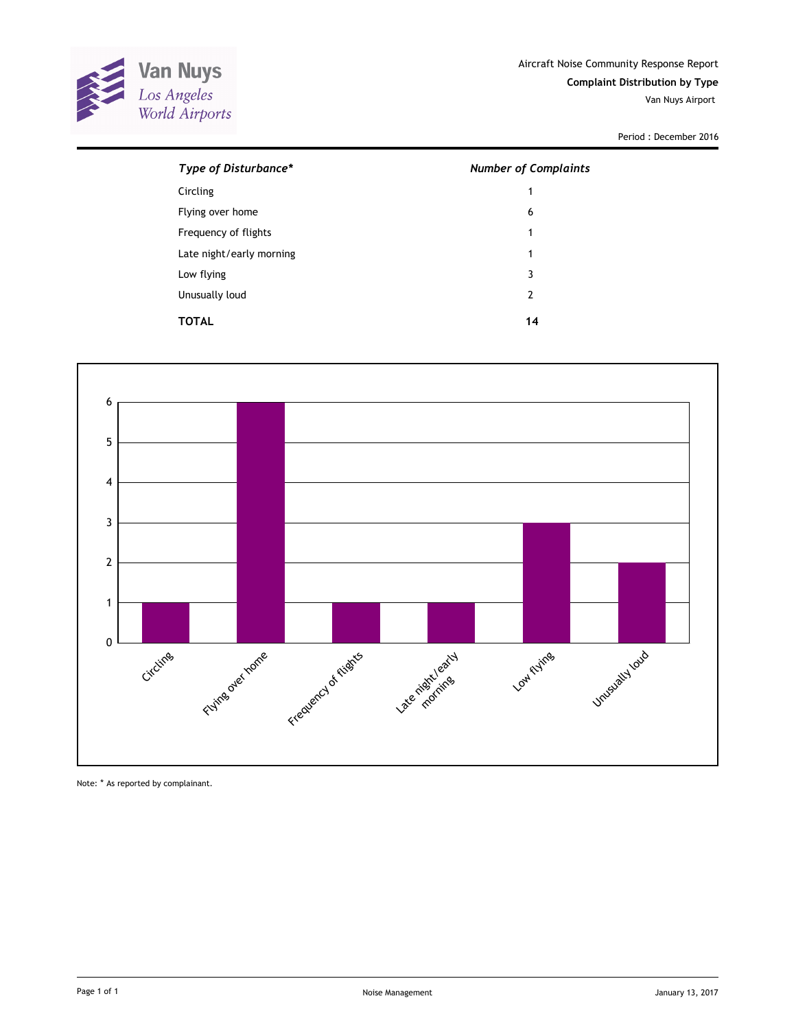

Period : December 2016

| Type of Disturbance*     | <b>Number of Complaints</b> |
|--------------------------|-----------------------------|
| Circling                 | 1                           |
| Flying over home         | 6                           |
| Frequency of flights     | 1                           |
| Late night/early morning | 1                           |
| Low flying               | 3                           |
| Unusually loud           | 2                           |
| TOTAL                    | 14                          |



Note: \* As reported by complainant.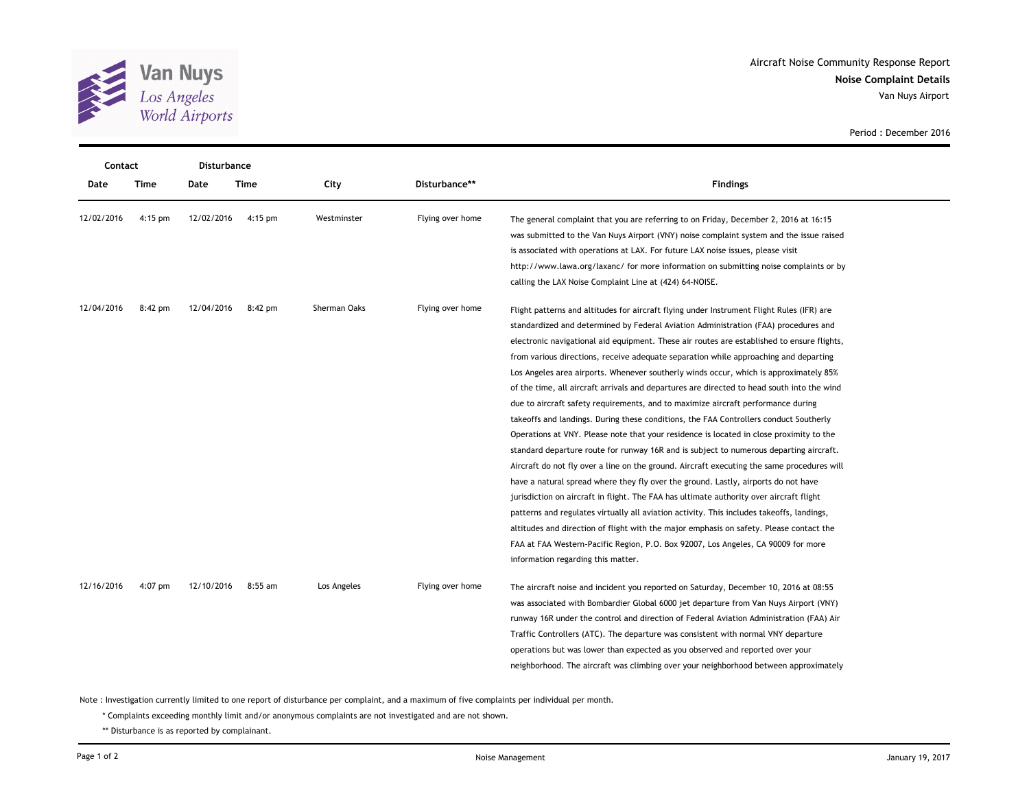

**Noise Complaint Details** Aircraft Noise Community Response Report Van Nuys Airport

|            | Contact   |            | <b>Disturbance</b> |              |                  |                                                                                                                                                                                                                                                                                                                                                                                                                                                                                                                                                                                                                                                                                                                                                                                                                                                                                                                                                                                                                                                                                                                                                                                                                                                                                                                                                                                                                                                                                             |
|------------|-----------|------------|--------------------|--------------|------------------|---------------------------------------------------------------------------------------------------------------------------------------------------------------------------------------------------------------------------------------------------------------------------------------------------------------------------------------------------------------------------------------------------------------------------------------------------------------------------------------------------------------------------------------------------------------------------------------------------------------------------------------------------------------------------------------------------------------------------------------------------------------------------------------------------------------------------------------------------------------------------------------------------------------------------------------------------------------------------------------------------------------------------------------------------------------------------------------------------------------------------------------------------------------------------------------------------------------------------------------------------------------------------------------------------------------------------------------------------------------------------------------------------------------------------------------------------------------------------------------------|
| Date       | Time      | Date       | Time               | City         | Disturbance**    | <b>Findings</b>                                                                                                                                                                                                                                                                                                                                                                                                                                                                                                                                                                                                                                                                                                                                                                                                                                                                                                                                                                                                                                                                                                                                                                                                                                                                                                                                                                                                                                                                             |
| 12/02/2016 | $4:15$ pm | 12/02/2016 | $4:15$ pm          | Westminster  | Flying over home | The general complaint that you are referring to on Friday, December 2, 2016 at 16:15<br>was submitted to the Van Nuys Airport (VNY) noise complaint system and the issue raised<br>is associated with operations at LAX. For future LAX noise issues, please visit<br>http://www.lawa.org/laxanc/ for more information on submitting noise complaints or by<br>calling the LAX Noise Complaint Line at (424) 64-NOISE.                                                                                                                                                                                                                                                                                                                                                                                                                                                                                                                                                                                                                                                                                                                                                                                                                                                                                                                                                                                                                                                                      |
| 12/04/2016 | 8:42 pm   | 12/04/2016 | 8:42 pm            | Sherman Oaks | Flying over home | Flight patterns and altitudes for aircraft flying under Instrument Flight Rules (IFR) are<br>standardized and determined by Federal Aviation Administration (FAA) procedures and<br>electronic navigational aid equipment. These air routes are established to ensure flights,<br>from various directions, receive adequate separation while approaching and departing<br>Los Angeles area airports. Whenever southerly winds occur, which is approximately 85%<br>of the time, all aircraft arrivals and departures are directed to head south into the wind<br>due to aircraft safety requirements, and to maximize aircraft performance during<br>takeoffs and landings. During these conditions, the FAA Controllers conduct Southerly<br>Operations at VNY. Please note that your residence is located in close proximity to the<br>standard departure route for runway 16R and is subject to numerous departing aircraft.<br>Aircraft do not fly over a line on the ground. Aircraft executing the same procedures will<br>have a natural spread where they fly over the ground. Lastly, airports do not have<br>jurisdiction on aircraft in flight. The FAA has ultimate authority over aircraft flight<br>patterns and regulates virtually all aviation activity. This includes takeoffs, landings,<br>altitudes and direction of flight with the major emphasis on safety. Please contact the<br>FAA at FAA Western-Pacific Region, P.O. Box 92007, Los Angeles, CA 90009 for more |
| 12/16/2016 | 4:07 pm   | 12/10/2016 | $8:55$ am          | Los Angeles  | Flying over home | information regarding this matter.<br>The aircraft noise and incident you reported on Saturday, December 10, 2016 at 08:55<br>was associated with Bombardier Global 6000 jet departure from Van Nuys Airport (VNY)<br>runway 16R under the control and direction of Federal Aviation Administration (FAA) Air<br>Traffic Controllers (ATC). The departure was consistent with normal VNY departure<br>operations but was lower than expected as you observed and reported over your<br>neighborhood. The aircraft was climbing over your neighborhood between approximately                                                                                                                                                                                                                                                                                                                                                                                                                                                                                                                                                                                                                                                                                                                                                                                                                                                                                                                 |

Note : Investigation currently limited to one report of disturbance per complaint, and a maximum of five complaints per individual per month.

\* Complaints exceeding monthly limit and/or anonymous complaints are not investigated and are not shown.

\*\* Disturbance is as reported by complainant.